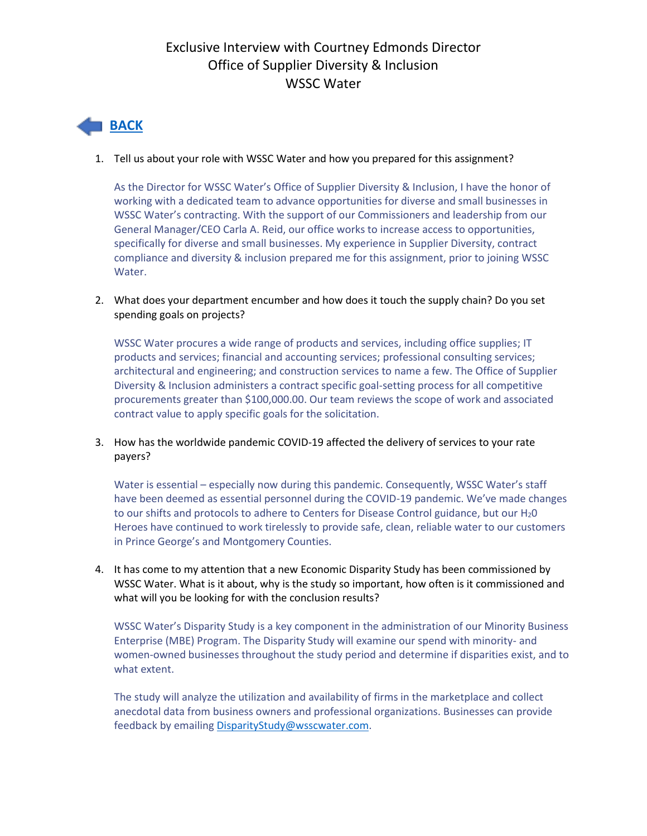### Exclusive Interview with Courtney Edmonds Director Office of Supplier Diversity & Inclusion WSSC Water

# **[BACK](http://campaign.r20.constantcontact.com/render?ca=02169ac9-c00a-4a9c-bb2e-d0114ab23311&preview=true&m=1102343289169&id=preview)**

#### 1. Tell us about your role with WSSC Water and how you prepared for this assignment?

As the Director for WSSC Water's Office of Supplier Diversity & Inclusion, I have the honor of working with a dedicated team to advance opportunities for diverse and small businesses in WSSC Water's contracting. With the support of our Commissioners and leadership from our General Manager/CEO Carla A. Reid, our office works to increase access to opportunities, specifically for diverse and small businesses. My experience in Supplier Diversity, contract compliance and diversity & inclusion prepared me for this assignment, prior to joining WSSC Water.

2. What does your department encumber and how does it touch the supply chain? Do you set spending goals on projects?

WSSC Water procures a wide range of products and services, including office supplies; IT products and services; financial and accounting services; professional consulting services; architectural and engineering; and construction services to name a few. The Office of Supplier Diversity & Inclusion administers a contract specific goal-setting process for all competitive procurements greater than \$100,000.00. Our team reviews the scope of work and associated contract value to apply specific goals for the solicitation.

#### 3. How has the worldwide pandemic COVID-19 affected the delivery of services to your rate payers?

Water is essential – especially now during this pandemic. Consequently, WSSC Water's staff have been deemed as essential personnel during the COVID-19 pandemic. We've made changes to our shifts and protocols to adhere to Centers for Disease Control guidance, but our H<sub>2</sub>O Heroes have continued to work tirelessly to provide safe, clean, reliable water to our customers in Prince George's and Montgomery Counties.

4. It has come to my attention that a new Economic Disparity Study has been commissioned by WSSC Water. What is it about, why is the study so important, how often is it commissioned and what will you be looking for with the conclusion results?

WSSC Water's Disparity Study is a key component in the administration of our Minority Business Enterprise (MBE) Program. The Disparity Study will examine our spend with minority- and women-owned businesses throughout the study period and determine if disparities exist, and to what extent.

The study will analyze the utilization and availability of firms in the marketplace and collect anecdotal data from business owners and professional organizations. Businesses can provide feedback by emailing [DisparityStudy@wsscwater.com.](mailto:DisparityStudy@wsscwater.com)